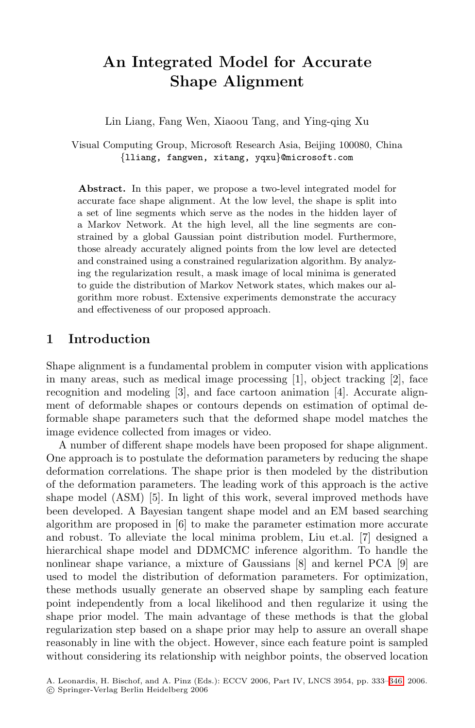# **An Integrated Model for Accurate Shape Alignment**

Lin Liang, Fang Wen, Xiaoou Tang, and Ying-qing Xu

Visual Computing Group, Microsoft Research Asia, Beijing 100080, China {lliang, fangwen, xitang, yqxu}@microsoft.com

**Abstract.** In this paper, we propose a two-level integrated model for accurate face shape alignment. At the low level, the shape is split into a set of line segments which serve as the nodes in the hidden layer of a Markov Network. At the high level, all the line segments are constrained by a global Gaussian point distribution model. Furthermore, those already accurately aligned points from the low level are detected and constrained using a constrained regularization algorithm. By analyzing the regularization result, a mask image of local minima is generated to guide the distribution of Markov Network states, which makes our algorithm more robust. Extensive experiments demonstrate the accuracy and effectiveness of our proposed approach.

#### **1 Introduction**

Shape alignment is a fundamental problem in computer vision with applications in many areas, such as medical image processing [1], object tracking [2], face recognition and modeling [3], and face cartoon animation [4]. Accurate alignment of deformable shapes or contours depends on estimation of optimal deformable shape parameters such that the deformed shape model matches the image evidence collected from images or video.

A number of different shape models have been proposed for shape alignment. One approach is to postulate the deformation parameters by reducing the shape deformation correlations. The shape prior is then modeled by the distribution of the deformation parameters. The leading work of this approach is the active shape model (ASM) [5]. In light of this work, several improved methods have been developed. A Bayesian tangent shape model and an EM based searching algorithm are proposed in [6] to make the parameter estimation more accurate and robust. To alleviate the local minima problem, Liu et.al. [7] designed a hierarchical shape model and DDMCMC inference algorithm. To handle the nonlinear shape variance, a mixture of Gaussians [8] and kernel PCA [9] are used to model the distribution of deformation parameters. For optimization, these methods usually generate an observed shape by sampling each feature point independently from a local likelihood and then regularize it using the shape prior model. The main advantage of these methods is that the global regularization step based on a shape prior may help to assure an overall shape reasonably in line with the object. However, since each feature point is sampled without considering its relationship with neighbor points, the observed location

A. Leonardis, H. Bischof, and A. Pinz (Eds.): ECCV 2006, Part IV, LNCS 3954, pp. 333–[346,](#page-13-0) 2006. c Springer-Verlag Berlin Heidelberg 2006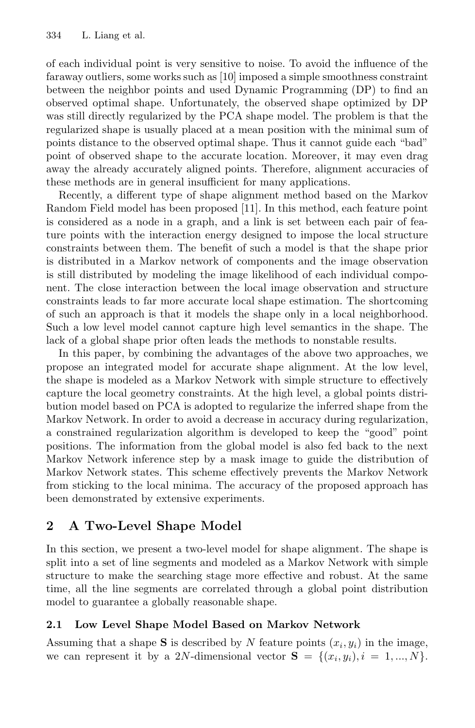of each individual point is very sensitive to noise. To avoid the influence of the faraway outliers, some works such as [10] imposed a simple smoothness constraint between the neighbor points and used Dynamic Programming (DP) to find an observed optimal shape. Unfortunately, the observed shape optimized by DP was still directly regularized by the PCA shape model. The problem is that the regularized shape is usually placed at a mean position with the minimal sum of points distance to the observed optimal shape. Thus it cannot guide each "bad" point of observed shape to the accurate location. Moreover, it may even drag away the already accurately aligned points. Therefore, alignment accuracies of these methods are in general insufficient for many applications.

Recently, a different type of shape alignment method based on the Markov Random Field model has been proposed [11]. In this method, each feature point is considered as a node in a graph, and a link is set between each pair of feature points with the interaction energy designed to impose the local structure constraints between them. The benefit of such a model is that the shape prior is distributed in a Markov network of components and the image observation is still distributed by modeling the image likelihood of each individual component. The close interaction between the local image observation and structure constraints leads to far more accurate local shape estimation. The shortcoming of such an approach is that it models the shape only in a local neighborhood. Such a low level model cannot capture high level semantics in the shape. The lack of a global shape prior often leads the methods to nonstable results.

In this paper, by combining the advantages of the above two approaches, we propose an integrated model for accurate shape alignment. At the low level, the shape is modeled as a Markov Network with simple structure to effectively capture the local geometry constraints. At the high level, a global points distribution model based on PCA is adopted to regularize the inferred shape from the Markov Network. In order to avoid a decrease in accuracy during regularization, a constrained regularization algorithm is developed to keep the "good" point positions. The information from the global model is also fed back to the next Markov Network inference step by a mask image to guide the distribution of Markov Network states. This scheme effectively prevents the Markov Network from sticking to the local minima. The accuracy of the proposed approach has been demonstrated by extensive experiments.

# **2 A Two-Level Shape Model**

In this section, we present a two-level model for shape alignment. The shape is split into a set of line segments and modeled as a Markov Network with simple structure to make the searching stage more effective and robust. At the same time, all the line segments are correlated through a global point distribution model to guarantee a globally reasonable shape.

### **2.1 Low Level Shape Model Based on Markov Network**

Assuming that a shape **S** is described by N feature points  $(x_i, y_i)$  in the image, we can represent it by a 2N-dimensional vector  $S = \{(x_i, y_i), i = 1, ..., N\}.$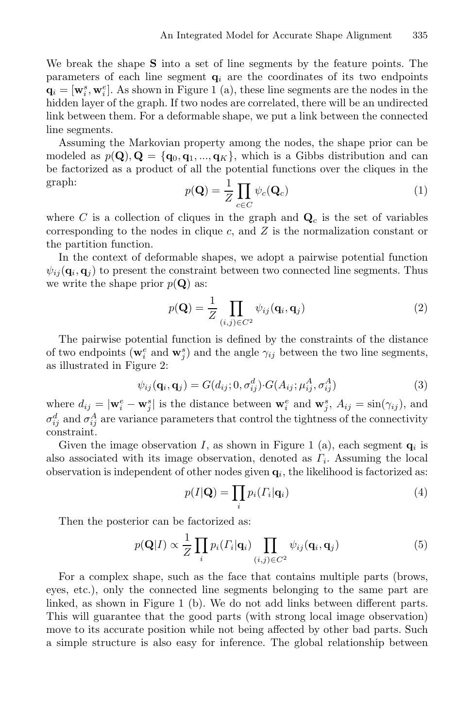We break the shape **S** into a set of line segments by the feature points. The parameters of each line segment  $q_i$  are the coordinates of its two endpoints  $\mathbf{q}_i = [\mathbf{w}_i^s, \mathbf{w}_i^e]$ . As shown in Figure 1 (a), these line segments are the nodes in the hidden layer of the graph. If two nodes are correlated, there will be an undirected link between them. For a deformable shape, we put a link between the connected line segments.

Assuming the Markovian property among the nodes, the shape prior can be modeled as  $p(\mathbf{Q}), \mathbf{Q} = {\mathbf{q}_0, \mathbf{q}_1, ..., \mathbf{q}_K}$ , which is a Gibbs distribution and can be factorized as a product of all the potential functions over the cliques in the graph:

$$
p(\mathbf{Q}) = \frac{1}{Z} \prod_{c \in C} \psi_c(\mathbf{Q}_c)
$$
 (1)

where C is a collection of cliques in the graph and  $\mathbf{Q}_c$  is the set of variables corresponding to the nodes in clique  $c$ , and  $Z$  is the normalization constant or the partition function.

In the context of deformable shapes, we adopt a pairwise potential function  $\psi_{ij}(\mathbf{q}_i, \mathbf{q}_j)$  to present the constraint between two connected line segments. Thus we write the shape prior  $p(\mathbf{Q})$  as:

$$
p(\mathbf{Q}) = \frac{1}{Z} \prod_{(i,j) \in C^2} \psi_{ij}(\mathbf{q}_i, \mathbf{q}_j)
$$
 (2)

The pairwise potential function is defined by the constraints of the distance of two endpoints  $(\mathbf{w}_i^e \text{ and } \mathbf{w}_j^s)$  and the angle  $\gamma_{ij}$  between the two line segments, as illustrated in Figure 2:

$$
\psi_{ij}(\mathbf{q}_i, \mathbf{q}_j) = G(d_{ij}; 0, \sigma_{ij}^d) \cdot G(A_{ij}; \mu_{ij}^A, \sigma_{ij}^A)
$$
\n(3)

where  $d_{ij} = |\mathbf{w}_i^e - \mathbf{w}_j^s|$  is the distance between  $\mathbf{w}_i^e$  and  $\mathbf{w}_j^s$ ,  $A_{ij} = \sin(\gamma_{ij})$ , and  $\sigma_{ij}^d$  and  $\sigma_{ij}^A$  are variance parameters that control the tightness of the connectivity constraint.

Given the image observation I, as shown in Figure 1 (a), each segment  $q_i$  is also associated with its image observation, denoted as  $\Gamma_i$ . Assuming the local observation is independent of other nodes given  $q_i$ , the likelihood is factorized as:

$$
p(I|\mathbf{Q}) = \prod_{i} p_i(\Gamma_i|\mathbf{q}_i)
$$
\n(4)

Then the posterior can be factorized as:

$$
p(\mathbf{Q}|I) \propto \frac{1}{Z} \prod_{i} p_i(I_i|\mathbf{q}_i) \prod_{(i,j)\in C^2} \psi_{ij}(\mathbf{q}_i, \mathbf{q}_j)
$$
(5)

For a complex shape, such as the face that contains multiple parts (brows, eyes, etc.), only the connected line segments belonging to the same part are linked, as shown in Figure 1 (b). We do not add links between different parts. This will guarantee that the good parts (with strong local image observation) move to its accurate position while not being affected by other bad parts. Such a simple structure is also easy for inference. The global relationship between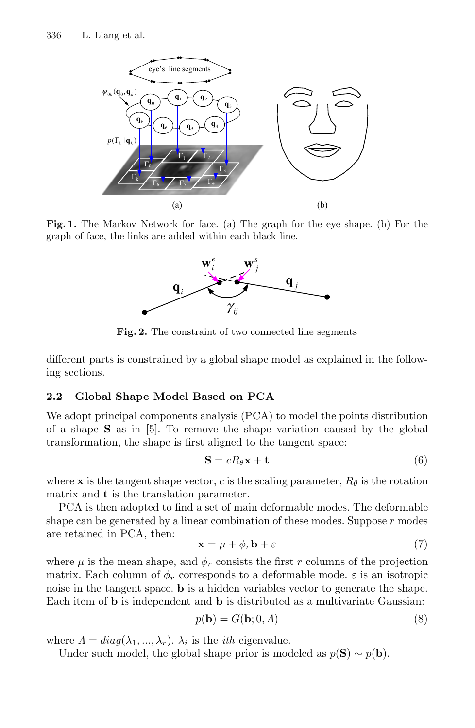

**Fig. 1.** The Markov Network for face. (a) The graph for the eye shape. (b) For the graph of face, the links are added within each black line.



**Fig. 2.** The constraint of two connected line segments

different parts is constrained by a global shape model as explained in the following sections.

#### **2.2 Global Shape Model Based on PCA**

We adopt principal components analysis (PCA) to model the points distribution of a shape **S** as in [5]. To remove the shape variation caused by the global transformation, the shape is first aligned to the tangent space:

$$
\mathbf{S} = cR_{\theta}\mathbf{x} + \mathbf{t} \tag{6}
$$

where **x** is the tangent shape vector, c is the scaling parameter,  $R_{\theta}$  is the rotation matrix and **t** is the translation parameter.

PCA is then adopted to find a set of main deformable modes. The deformable shape can be generated by a linear combination of these modes. Suppose  $r$  modes are retained in PCA, then:

$$
\mathbf{x} = \mu + \phi_r \mathbf{b} + \varepsilon \tag{7}
$$

where  $\mu$  is the mean shape, and  $\phi_r$  consists the first r columns of the projection matrix. Each column of  $\phi_r$  corresponds to a deformable mode.  $\varepsilon$  is an isotropic noise in the tangent space. **b** is a hidden variables vector to generate the shape. Each item of **b** is independent and **b** is distributed as a multivariate Gaussian:

$$
p(\mathbf{b}) = G(\mathbf{b}; 0, \Lambda) \tag{8}
$$

where  $\Lambda = diag(\lambda_1, ..., \lambda_r)$ .  $\lambda_i$  is the *ith* eigenvalue.

Under such model, the global shape prior is modeled as  $p(S) \sim p(b)$ .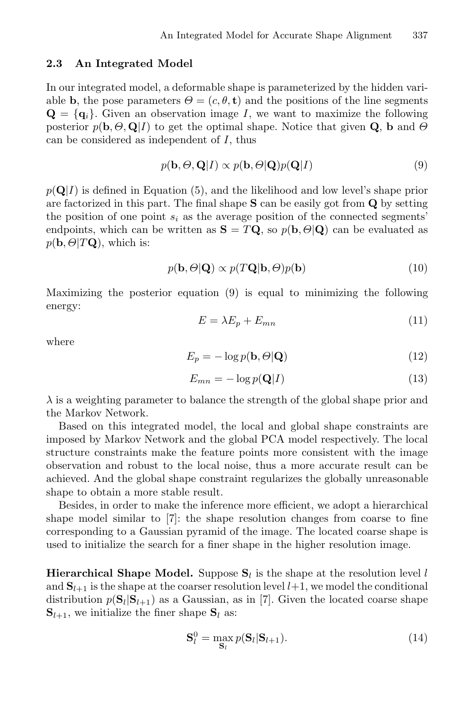#### **2.3 An Integrated Model**

In our integrated model, a deformable shape is parameterized by the hidden variable **b**, the pose parameters  $\Theta = (c, \theta, \mathbf{t})$  and the positions of the line segments  $\mathbf{Q} = \{q_i\}$ . Given an observation image I, we want to maximize the following posterior  $p(\mathbf{b}, \Theta, \mathbf{Q}|I)$  to get the optimal shape. Notice that given **Q**, **b** and  $\Theta$ can be considered as independent of  $I$ , thus

$$
p(\mathbf{b}, \Theta, \mathbf{Q}|I) \propto p(\mathbf{b}, \Theta | \mathbf{Q}) p(\mathbf{Q}|I)
$$
\n(9)

 $p(\mathbf{Q}|I)$  is defined in Equation (5), and the likelihood and low level's shape prior are factorized in this part. The final shape **S** can be easily got from **Q** by setting the position of one point  $s_i$  as the average position of the connected segments' endpoints, which can be written as  $S = TQ$ , so  $p(b, \Theta|Q)$  can be evaluated as  $p(\mathbf{b}, \Theta | T\mathbf{Q})$ , which is:

$$
p(\mathbf{b}, \Theta | \mathbf{Q}) \propto p(T\mathbf{Q} | \mathbf{b}, \Theta) p(\mathbf{b})
$$
\n(10)

Maximizing the posterior equation (9) is equal to minimizing the following energy:

$$
E = \lambda E_p + E_{mn} \tag{11}
$$

where

$$
E_p = -\log p(\mathbf{b}, \Theta | \mathbf{Q})\tag{12}
$$

$$
E_{mn} = -\log p(\mathbf{Q}|I) \tag{13}
$$

 $\lambda$  is a weighting parameter to balance the strength of the global shape prior and the Markov Network.

Based on this integrated model, the local and global shape constraints are imposed by Markov Network and the global PCA model respectively. The local structure constraints make the feature points more consistent with the image observation and robust to the local noise, thus a more accurate result can be achieved. And the global shape constraint regularizes the globally unreasonable shape to obtain a more stable result.

Besides, in order to make the inference more efficient, we adopt a hierarchical shape model similar to [7]: the shape resolution changes from coarse to fine corresponding to a Gaussian pyramid of the image. The located coarse shape is used to initialize the search for a finer shape in the higher resolution image.

**Hierarchical Shape Model.** Suppose  $S_l$  is the shape at the resolution level l and  $S_{l+1}$  is the shape at the coarser resolution level  $l+1$ , we model the conditional distribution  $p(\mathbf{S}_l|\mathbf{S}_{l+1})$  as a Gaussian, as in [7]. Given the located coarse shape  $S_{l+1}$ , we initialize the finer shape  $S_l$  as:

$$
\mathbf{S}_l^0 = \max_{\mathbf{S}_l} p(\mathbf{S}_l | \mathbf{S}_{l+1}).
$$
\n(14)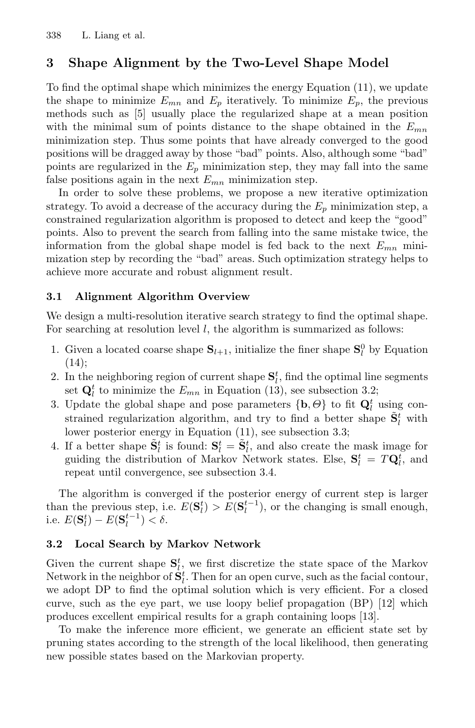# **3 Shape Alignment by the Two-Level Shape Model**

To find the optimal shape which minimizes the energy Equation (11), we update the shape to minimize  $E_{mn}$  and  $E_p$  iteratively. To minimize  $E_p$ , the previous methods such as [5] usually place the regularized shape at a mean position with the minimal sum of points distance to the shape obtained in the  $E_{mn}$ minimization step. Thus some points that have already converged to the good positions will be dragged away by those "bad" points. Also, although some "bad" points are regularized in the  $E_p$  minimization step, they may fall into the same false positions again in the next  $E_{mn}$  minimization step.

In order to solve these problems, we propose a new iterative optimization strategy. To avoid a decrease of the accuracy during the  $E_p$  minimization step, a constrained regularization algorithm is proposed to detect and keep the "good" points. Also to prevent the search from falling into the same mistake twice, the information from the global shape model is fed back to the next  $E_{mn}$  minimization step by recording the "bad" areas. Such optimization strategy helps to achieve more accurate and robust alignment result.

#### **3.1 Alignment Algorithm Overview**

We design a multi-resolution iterative search strategy to find the optimal shape. For searching at resolution level l, the algorithm is summarized as follows:

- 1. Given a located coarse shape  $S_{l+1}$ , initialize the finer shape  $S_l^0$  by Equation  $(14);$
- 2. In the neighboring region of current shape  $S_l^t$ , find the optimal line segments set  $\mathbf{Q}_l^t$  to minimize the  $E_{mn}$  in Equation (13), see subsection 3.2;
- 3. Update the global shape and pose parameters  $\{\mathbf{b}, \Theta\}$  to fit  $\mathbf{Q}_l^t$  using constrained regularization algorithm, and try to find a better shape  $\tilde{\mathbf{S}}_l^t$  with lower posterior energy in Equation (11), see subsection 3.3;
- 4. If a better shape  $\tilde{\mathbf{S}}_l^t$  is found:  $\mathbf{S}_l^t = \tilde{\mathbf{S}}_l^t$ , and also create the mask image for guiding the distribution of Markov Network states. Else,  $S_t^t = TQ_t^t$ , and repeat until convergence, see subsection 3.4.

The algorithm is converged if the posterior energy of current step is larger than the previous step, i.e.  $E(S_l^t) > E(S_l^{t-1})$ , or the changing is small enough, i.e.  $E(\mathbf{S}_l^t) - E(\mathbf{S}_l^{t-1}) < \delta$ .

#### **3.2 Local Search by Markov Network**

Given the current shape  $S_l^t$ , we first discretize the state space of the Markov Network in the neighbor of  $\mathbf{S}_{l}^{t}$ . Then for an open curve, such as the facial contour, we adopt DP to find the optimal solution which is very efficient. For a closed curve, such as the eye part, we use loopy belief propagation (BP) [12] which produces excellent empirical results for a graph containing loops [13].

To make the inference more efficient, we generate an efficient state set by pruning states according to the strength of the local likelihood, then generating new possible states based on the Markovian property.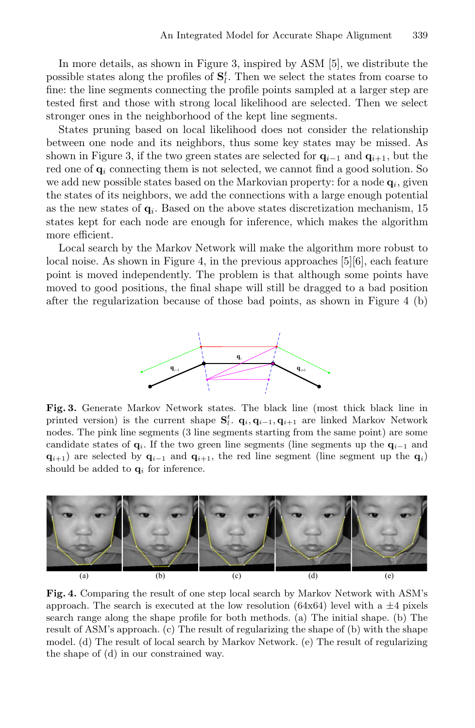In more details, as shown in Figure 3, inspired by ASM [5], we distribute the possible states along the profiles of  $S_l^t$ . Then we select the states from coarse to fine: the line segments connecting the profile points sampled at a larger step are tested first and those with strong local likelihood are selected. Then we select stronger ones in the neighborhood of the kept line segments.

States pruning based on local likelihood does not consider the relationship between one node and its neighbors, thus some key states may be missed. As shown in Figure 3, if the two green states are selected for  $\mathbf{q}_{i-1}$  and  $\mathbf{q}_{i+1}$ , but the red one of **q**<sup>i</sup> connecting them is not selected, we cannot find a good solution. So we add new possible states based on the Markovian property: for a node **q**i, given the states of its neighbors, we add the connections with a large enough potential as the new states of  $q_i$ . Based on the above states discretization mechanism, 15 states kept for each node are enough for inference, which makes the algorithm more efficient.

Local search by the Markov Network will make the algorithm more robust to local noise. As shown in Figure 4, in the previous approaches [5][6], each feature point is moved independently. The problem is that although some points have moved to good positions, the final shape will still be dragged to a bad position after the regularization because of those bad points, as shown in Figure 4 (b)



**Fig. 3.** Generate Markov Network states. The black line (most thick black line in printed version) is the current shape  $S_t^t$ .  $\mathbf{q}_i, \mathbf{q}_{i-1}, \mathbf{q}_{i+1}$  are linked Markov Network nodes. The pink line segments (3 line segments starting from the same point) are semenodes. The pink line segments (3 line segments starting from the same point) are some candidate states of **<sup>q</sup>**<sup>i</sup>. If the two green line segments (line segments up the **<sup>q</sup>**<sup>i</sup>−<sup>1</sup> and **q**<sub>i+1</sub>) are selected by  $\mathbf{q}_{i-1}$  and  $\mathbf{q}_{i+1}$ , the red line segment (line segment up the  $\mathbf{q}_i$ ) should be added to  $q_i$  for inference.



**Fig. 4.** Comparing the result of one step local search by Markov Network with ASM's approach. The search is executed at the low resolution  $(64x64)$  level with a  $\pm 4$  pixels search range along the shape profile for both methods. (a) The initial shape. (b) The result of ASM's approach. (c) The result of regularizing the shape of (b) with the shape model. (d) The result of local search by Markov Network. (e) The result of regularizing the shape of (d) in our constrained way.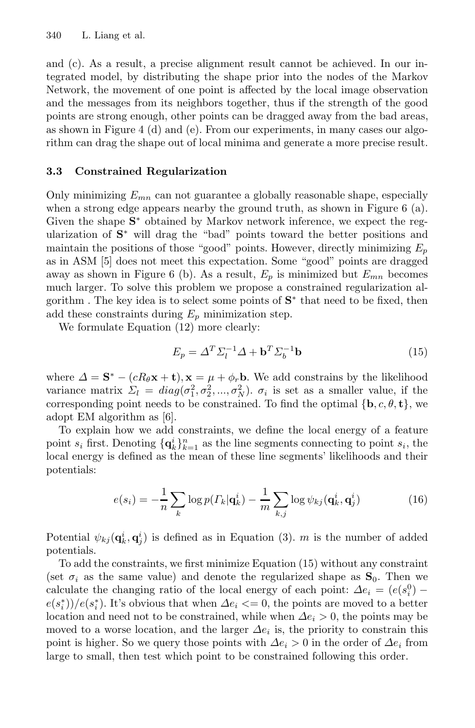and (c). As a result, a precise alignment result cannot be achieved. In our integrated model, by distributing the shape prior into the nodes of the Markov Network, the movement of one point is affected by the local image observation and the messages from its neighbors together, thus if the strength of the good points are strong enough, other points can be dragged away from the bad areas, as shown in Figure 4 (d) and (e). From our experiments, in many cases our algorithm can drag the shape out of local minima and generate a more precise result.

#### **3.3 Constrained Regularization**

Only minimizing  $E_{mn}$  can not guarantee a globally reasonable shape, especially when a strong edge appears nearby the ground truth, as shown in Figure 6 (a). Given the shape **S**<sup>∗</sup> obtained by Markov network inference, we expect the regularization of **S**<sup>∗</sup> will drag the "bad" points toward the better positions and maintain the positions of those "good" points. However, directly minimizing  $E_p$ as in ASM [5] does not meet this expectation. Some "good" points are dragged away as shown in Figure 6 (b). As a result,  $E_p$  is minimized but  $E_{mn}$  becomes much larger. To solve this problem we propose a constrained regularization algorithm . The key idea is to select some points of **S**<sup>∗</sup> that need to be fixed, then add these constraints during  $E_p$  minimization step.

We formulate Equation (12) more clearly:

$$
E_p = \Delta^T \Sigma_l^{-1} \Delta + \mathbf{b}^T \Sigma_b^{-1} \mathbf{b}
$$
 (15)

where  $\Delta = \mathbf{S}^* - (cR_\theta \mathbf{x} + \mathbf{t}), \mathbf{x} = \mu + \phi_r \mathbf{b}$ . We add constrains by the likelihood variance matrix  $\Sigma_l = diag(\sigma_1^2, \sigma_2^2, ..., \sigma_N^2)$ .  $\sigma_i$  is set as a smaller value, if the corresponding point needs to be constrained. To find the optimal  ${\bf b}, c, \theta, {\bf t}$ , we adopt EM algorithm as [6].

To explain how we add constraints, we define the local energy of a feature point  $s_i$  first. Denoting  ${\{\mathbf{q}_k^i\}}_{k=1}^n$  as the line segments connecting to point  $s_i$ , the local energy is defined as the mean of these line segments' likelihoods and their potentials:

$$
e(s_i) = -\frac{1}{n} \sum_{k} \log p(T_k | \mathbf{q}_k^i) - \frac{1}{m} \sum_{k,j} \log \psi_{kj}(\mathbf{q}_k^i, \mathbf{q}_j^i)
$$
(16)

Potential  $\psi_{kj}(\mathbf{q}_k^i, \mathbf{q}_j^i)$  is defined as in Equation (3). m is the number of added potentials.

To add the constraints, we first minimize Equation (15) without any constraint (set  $\sigma_i$  as the same value) and denote the regularized shape as  $S_0$ . Then we calculate the changing ratio of the local energy of each point:  $\Delta e_i = (e(s_i^0)$  $e(s_i^*)/e(s_i^*)$ . It's obvious that when  $\Delta e_i \leq 0$ , the points are moved to a better location and need not to be constrained, while when  $\Delta e_i > 0$ , the points may be moved to a worse location, and the larger  $\Delta e_i$  is, the priority to constrain this point is higher. So we query those points with  $\Delta e_i > 0$  in the order of  $\Delta e_i$  from large to small, then test which point to be constrained following this order.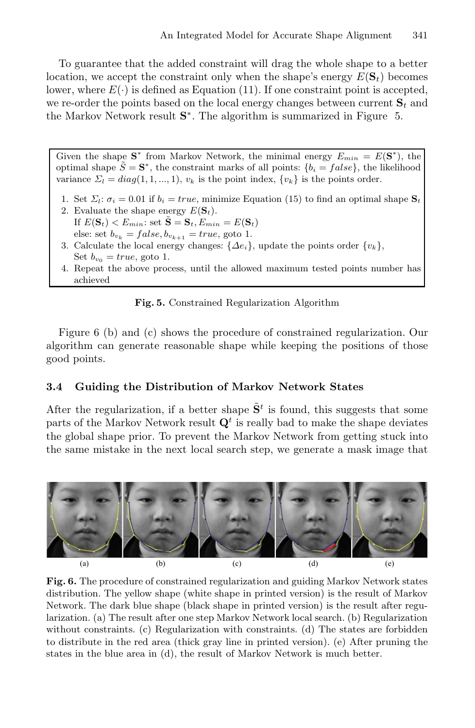To guarantee that the added constraint will drag the whole shape to a better location, we accept the constraint only when the shape's energy  $E(S_t)$  becomes lower, where  $E(\cdot)$  is defined as Equation (11). If one constraint point is accepted, we re-order the points based on the local energy changes between current  $S_t$  and the Markov Network result **S**∗. The algorithm is summarized in Figure 5.

Given the shape **S**<sup>∗</sup> from Markov Network, the minimal energy  $E_{min} = E(\mathbf{S}^*)$ , the optimal shape  $\tilde{S} = S^*$ , the constraint marks of all points:  $\{b_i = false\}$ , the likelihood variance  $\Sigma_l = diag(1, 1, ..., 1), v_k$  is the point index,  $\{v_k\}$  is the points order.

- 1. Set  $\Sigma_l: \sigma_i = 0.01$  if  $b_i = true$ , minimize Equation (15) to find an optimal shape  $S_t$
- 2. Evaluate the shape energy  $E(\mathbf{S}_t)$ . If  $E(\mathbf{S}_t) < E_{min}$ : set  $\mathbf{S} = \mathbf{S}_t, E_{min} = E(\mathbf{S}_t)$ else: set  $b_{v_k} = false, b_{v_{k+1}} = true$ , goto 1.
- 3. Calculate the local energy changes:  $\{\Delta e_i\}$ , update the points order  $\{v_k\}$ , Set  $b_{v_0} = true$ , goto 1.
- 4. Repeat the above process, until the allowed maximum tested points number has achieved

**Fig. 5.** Constrained Regularization Algorithm

Figure 6 (b) and (c) shows the procedure of constrained regularization. Our algorithm can generate reasonable shape while keeping the positions of those good points.

#### **3.4 Guiding the Distribution of Markov Network States**

After the regularization, if a better shape  $\tilde{S}^t$  is found, this suggests that some parts of the Markov Network result  $\mathbf{Q}^t$  is really bad to make the shape deviates the global shape prior. To prevent the Markov Network from getting stuck into the same mistake in the next local search step, we generate a mask image that



**Fig. 6.** The procedure of constrained regularization and guiding Markov Network states distribution. The yellow shape (white shape in printed version) is the result of Markov Network. The dark blue shape (black shape in printed version) is the result after regularization. (a) The result after one step Markov Network local search. (b) Regularization without constraints. (c) Regularization with constraints. (d) The states are forbidden to distribute in the red area (thick gray line in printed version). (e) After pruning the states in the blue area in (d), the result of Markov Network is much better.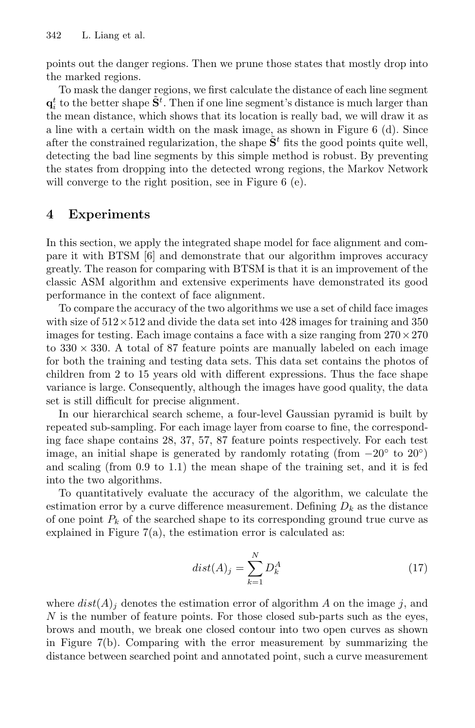points out the danger regions. Then we prune those states that mostly drop into the marked regions.

To mask the danger regions, we first calculate the distance of each line segment  $\mathbf{q}_i^t$  to the better shape  $\tilde{\mathbf{S}}^t$ . Then if one line segment's distance is much larger than the mean distance, which shows that its location is really bad, we will draw it as a line with a certain width on the mask image, as shown in Figure 6 (d). Since after the constrained regularization, the shape  $\tilde{S}^t$  fits the good points quite well, detecting the bad line segments by this simple method is robust. By preventing the states from dropping into the detected wrong regions, the Markov Network will converge to the right position, see in Figure 6 (e).

### **4 Experiments**

In this section, we apply the integrated shape model for face alignment and compare it with BTSM [6] and demonstrate that our algorithm improves accuracy greatly. The reason for comparing with BTSM is that it is an improvement of the classic ASM algorithm and extensive experiments have demonstrated its good performance in the context of face alignment.

To compare the accuracy of the two algorithms we use a set of child face images with size of  $512 \times 512$  and divide the data set into 428 images for training and 350 images for testing. Each image contains a face with a size ranging from  $270 \times 270$ to  $330 \times 330$ . A total of 87 feature points are manually labeled on each image for both the training and testing data sets. This data set contains the photos of children from 2 to 15 years old with different expressions. Thus the face shape variance is large. Consequently, although the images have good quality, the data set is still difficult for precise alignment.

In our hierarchical search scheme, a four-level Gaussian pyramid is built by repeated sub-sampling. For each image layer from coarse to fine, the corresponding face shape contains 28, 37, 57, 87 feature points respectively. For each test image, an initial shape is generated by randomly rotating (from  $-20°$  to  $20°$ ) and scaling (from 0.9 to 1.1) the mean shape of the training set, and it is fed into the two algorithms.

To quantitatively evaluate the accuracy of the algorithm, we calculate the estimation error by a curve difference measurement. Defining  $D_k$  as the distance of one point  $P_k$  of the searched shape to its corresponding ground true curve as explained in Figure  $7(a)$ , the estimation error is calculated as:

$$
dist(A)_j = \sum_{k=1}^N D_k^A \tag{17}
$$

where  $dist(A)_i$  denotes the estimation error of algorithm A on the image j, and N is the number of feature points. For those closed sub-parts such as the eyes, brows and mouth, we break one closed contour into two open curves as shown in Figure 7(b). Comparing with the error measurement by summarizing the distance between searched point and annotated point, such a curve measurement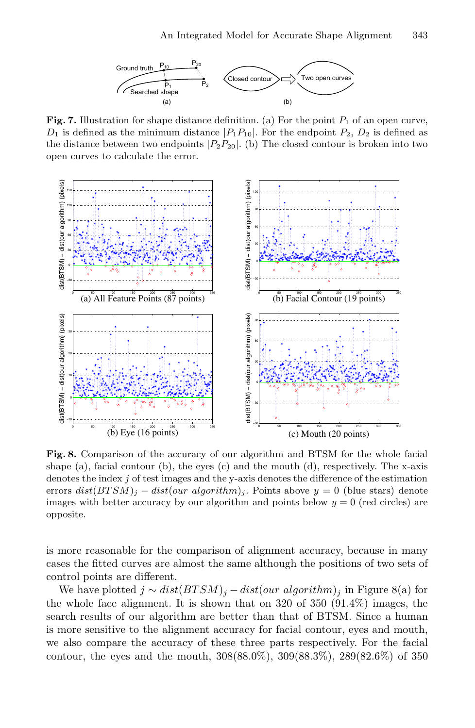

**Fig. 7.** Illustration for shape distance definition. (a) For the point  $P_1$  of an open curve,  $D_1$  is defined as the minimum distance  $|P_1P_{10}|$ . For the endpoint  $P_2$ ,  $D_2$  is defined as the distance between two endpoints  $|P_2P_{20}|$ . (b) The closed contour is broken into two open curves to calculate the error.



**Fig. 8.** Comparison of the accuracy of our algorithm and BTSM for the whole facial shape (a), facial contour (b), the eyes (c) and the mouth  $(d)$ , respectively. The x-axis denotes the index  $j$  of test images and the y-axis denotes the difference of the estimation errors  $dist(BTSM)_j - dist(our algorithm)_j$ . Points above  $y = 0$  (blue stars) denote images with better accuracy by our algorithm and points below  $y = 0$  (red circles) are opposite.

is more reasonable for the comparison of alignment accuracy, because in many cases the fitted curves are almost the same although the positions of two sets of control points are different.

We have plotted  $j \sim dist(BTSM)_j - dist(our algorithm)_j$  in Figure 8(a) for the whole face alignment. It is shown that on 320 of 350 (91.4%) images, the search results of our algorithm are better than that of BTSM. Since a human is more sensitive to the alignment accuracy for facial contour, eyes and mouth, we also compare the accuracy of these three parts respectively. For the facial contour, the eyes and the mouth, 308(88.0%), 309(88.3%), 289(82.6%) of 350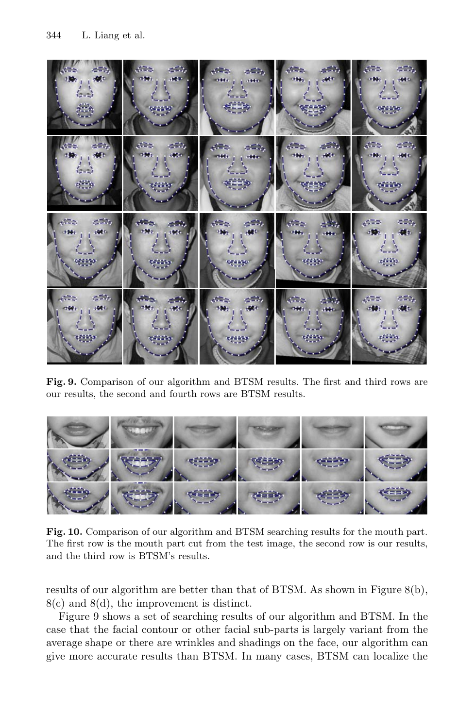

**Fig. 9.** Comparison of our algorithm and BTSM results. The first and third rows are our results, the second and fourth rows are BTSM results.



**Fig. 10.** Comparison of our algorithm and BTSM searching results for the mouth part. The first row is the mouth part cut from the test image, the second row is our results, and the third row is BTSM's results.

results of our algorithm are better than that of BTSM. As shown in Figure 8(b), 8(c) and 8(d), the improvement is distinct.

Figure 9 shows a set of searching results of our algorithm and BTSM. In the case that the facial contour or other facial sub-parts is largely variant from the average shape or there are wrinkles and shadings on the face, our algorithm can give more accurate results than BTSM. In many cases, BTSM can localize the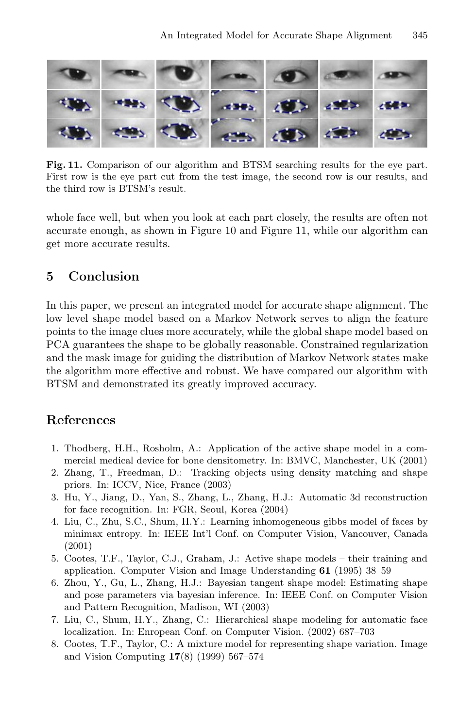

**Fig. 11.** Comparison of our algorithm and BTSM searching results for the eye part. First row is the eye part cut from the test image, the second row is our results, and the third row is BTSM's result.

whole face well, but when you look at each part closely, the results are often not accurate enough, as shown in Figure 10 and Figure 11, while our algorithm can get more accurate results.

## **5 Conclusion**

In this paper, we present an integrated model for accurate shape alignment. The low level shape model based on a Markov Network serves to align the feature points to the image clues more accurately, while the global shape model based on PCA guarantees the shape to be globally reasonable. Constrained regularization and the mask image for guiding the distribution of Markov Network states make the algorithm more effective and robust. We have compared our algorithm with BTSM and demonstrated its greatly improved accuracy.

## **References**

- 1. Thodberg, H.H., Rosholm, A.: Application of the active shape model in a commercial medical device for bone densitometry. In: BMVC, Manchester, UK (2001)
- 2. Zhang, T., Freedman, D.: Tracking objects using density matching and shape priors. In: ICCV, Nice, France (2003)
- 3. Hu, Y., Jiang, D., Yan, S., Zhang, L., Zhang, H.J.: Automatic 3d reconstruction for face recognition. In: FGR, Seoul, Korea (2004)
- 4. Liu, C., Zhu, S.C., Shum, H.Y.: Learning inhomogeneous gibbs model of faces by minimax entropy. In: IEEE Int'l Conf. on Computer Vision, Vancouver, Canada (2001)
- 5. Cootes, T.F., Taylor, C.J., Graham, J.: Active shape models their training and application. Computer Vision and Image Understanding **61** (1995) 38–59
- 6. Zhou, Y., Gu, L., Zhang, H.J.: Bayesian tangent shape model: Estimating shape and pose parameters via bayesian inference. In: IEEE Conf. on Computer Vision and Pattern Recognition, Madison, WI (2003)
- 7. Liu, C., Shum, H.Y., Zhang, C.: Hierarchical shape modeling for automatic face localization. In: Enropean Conf. on Computer Vision. (2002) 687–703
- 8. Cootes, T.F., Taylor, C.: A mixture model for representing shape variation. Image and Vision Computing **17**(8) (1999) 567–574